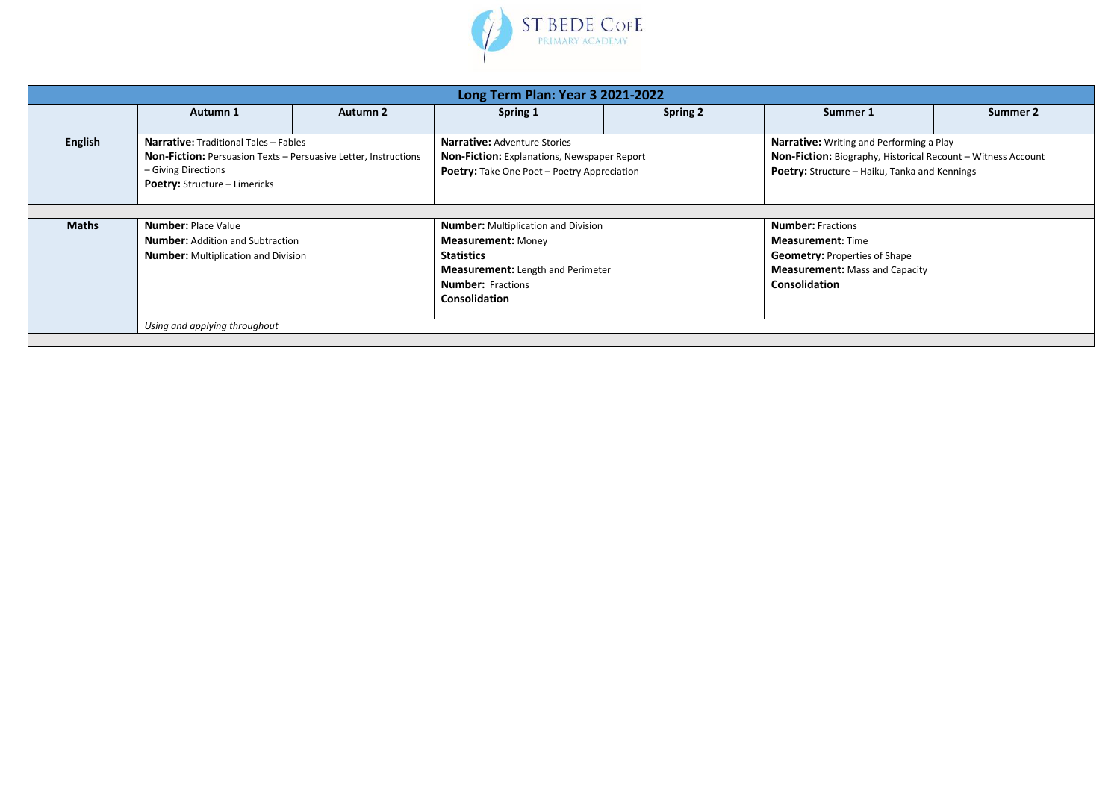

| Long Term Plan: Year 3 2021-2022 |                                                                                                                                                                                       |          |                                                                                                                            |                 |                                                                                                                                                                  |          |  |
|----------------------------------|---------------------------------------------------------------------------------------------------------------------------------------------------------------------------------------|----------|----------------------------------------------------------------------------------------------------------------------------|-----------------|------------------------------------------------------------------------------------------------------------------------------------------------------------------|----------|--|
|                                  | Autumn 1                                                                                                                                                                              | Autumn 2 | Spring 1                                                                                                                   | <b>Spring 2</b> | Summer 1                                                                                                                                                         | Summer 2 |  |
| English                          | <b>Narrative:</b> Traditional Tales - Fables<br><b>Non-Fiction:</b> Persuasion Texts - Persuasive Letter, Instructions<br>- Giving Directions<br><b>Poetry:</b> Structure - Limericks |          | Narrative: Adventure Stories<br>Non-Fiction: Explanations, Newspaper Report<br>Poetry: Take One Poet - Poetry Appreciation |                 | Narrative: Writing and Performing a Play<br>Non-Fiction: Biography, Historical Recount - Witness Account<br><b>Poetry:</b> Structure - Haiku, Tanka and Kennings |          |  |
| <b>Maths</b>                     | <b>Number: Place Value</b>                                                                                                                                                            |          | <b>Number:</b> Multiplication and Division                                                                                 |                 | <b>Number: Fractions</b>                                                                                                                                         |          |  |
|                                  | <b>Number:</b> Addition and Subtraction<br><b>Number:</b> Multiplication and Division                                                                                                 |          | <b>Measurement: Money</b><br><b>Statistics</b>                                                                             |                 | <b>Measurement:</b> Time<br><b>Geometry: Properties of Shape</b>                                                                                                 |          |  |
|                                  |                                                                                                                                                                                       |          | <b>Measurement:</b> Length and Perimeter<br><b>Number:</b> Fractions<br><b>Consolidation</b>                               |                 | <b>Measurement:</b> Mass and Capacity<br><b>Consolidation</b>                                                                                                    |          |  |
|                                  | Using and applying throughout                                                                                                                                                         |          |                                                                                                                            |                 |                                                                                                                                                                  |          |  |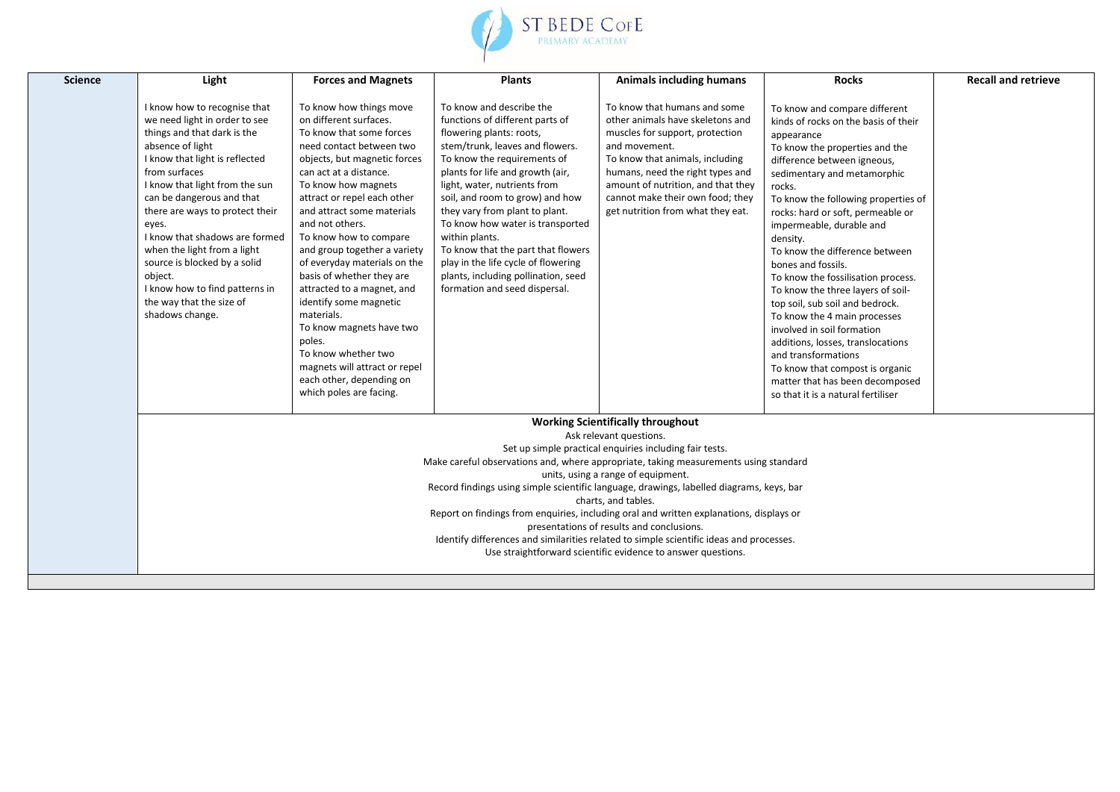

| <b>Science</b> | Light                                                                                                                                                                                                                                                                                                                                                                                                                                                                                                                                                                                                                                                                              | <b>Forces and Magnets</b>                                                                                                                                                                                                                                                                                                                                                                                                                                                                                                                                                                                                    | <b>Plants</b>                                                                                                                                                                                                                                                                                                                                                                                                                                                                                                 | <b>Animals including humans</b>                                                                                                                                                                                                                                                                            | <b>Rocks</b>                                                                                                                                                                                                                                                                                                                                                                                                                                                                                                                                                                                                                                                                                                                  | <b>Recall and retrieve</b> |  |  |
|----------------|------------------------------------------------------------------------------------------------------------------------------------------------------------------------------------------------------------------------------------------------------------------------------------------------------------------------------------------------------------------------------------------------------------------------------------------------------------------------------------------------------------------------------------------------------------------------------------------------------------------------------------------------------------------------------------|------------------------------------------------------------------------------------------------------------------------------------------------------------------------------------------------------------------------------------------------------------------------------------------------------------------------------------------------------------------------------------------------------------------------------------------------------------------------------------------------------------------------------------------------------------------------------------------------------------------------------|---------------------------------------------------------------------------------------------------------------------------------------------------------------------------------------------------------------------------------------------------------------------------------------------------------------------------------------------------------------------------------------------------------------------------------------------------------------------------------------------------------------|------------------------------------------------------------------------------------------------------------------------------------------------------------------------------------------------------------------------------------------------------------------------------------------------------------|-------------------------------------------------------------------------------------------------------------------------------------------------------------------------------------------------------------------------------------------------------------------------------------------------------------------------------------------------------------------------------------------------------------------------------------------------------------------------------------------------------------------------------------------------------------------------------------------------------------------------------------------------------------------------------------------------------------------------------|----------------------------|--|--|
|                | I know how to recognise that<br>we need light in order to see<br>things and that dark is the<br>absence of light<br>I know that light is reflected<br>from surfaces<br>I know that light from the sun<br>can be dangerous and that<br>there are ways to protect their<br>eyes.<br>I know that shadows are formed<br>when the light from a light<br>source is blocked by a solid<br>object.<br>I know how to find patterns in<br>the way that the size of<br>shadows change.                                                                                                                                                                                                        | To know how things move<br>on different surfaces.<br>To know that some forces<br>need contact between two<br>objects, but magnetic forces<br>can act at a distance.<br>To know how magnets<br>attract or repel each other<br>and attract some materials<br>and not others.<br>To know how to compare<br>and group together a variety<br>of everyday materials on the<br>basis of whether they are<br>attracted to a magnet, and<br>identify some magnetic<br>materials.<br>To know magnets have two<br>poles.<br>To know whether two<br>magnets will attract or repel<br>each other, depending on<br>which poles are facing. | To know and describe the<br>functions of different parts of<br>flowering plants: roots,<br>stem/trunk, leaves and flowers.<br>To know the requirements of<br>plants for life and growth (air,<br>light, water, nutrients from<br>soil, and room to grow) and how<br>they vary from plant to plant.<br>To know how water is transported<br>within plants.<br>To know that the part that flowers<br>play in the life cycle of flowering<br>plants, including pollination, seed<br>formation and seed dispersal. | To know that humans and some<br>other animals have skeletons and<br>muscles for support, protection<br>and movement.<br>To know that animals, including<br>humans, need the right types and<br>amount of nutrition, and that they<br>cannot make their own food; they<br>get nutrition from what they eat. | To know and compare different<br>kinds of rocks on the basis of their<br>appearance<br>To know the properties and the<br>difference between igneous,<br>sedimentary and metamorphic<br>rocks.<br>To know the following properties of<br>rocks: hard or soft, permeable or<br>impermeable, durable and<br>density.<br>To know the difference between<br>bones and fossils.<br>To know the fossilisation process.<br>To know the three layers of soil-<br>top soil, sub soil and bedrock.<br>To know the 4 main processes<br>involved in soil formation<br>additions, losses, translocations<br>and transformations<br>To know that compost is organic<br>matter that has been decomposed<br>so that it is a natural fertiliser |                            |  |  |
|                | <b>Working Scientifically throughout</b><br>Ask relevant questions.<br>Set up simple practical enquiries including fair tests.<br>Make careful observations and, where appropriate, taking measurements using standard<br>units, using a range of equipment.<br>Record findings using simple scientific language, drawings, labelled diagrams, keys, bar<br>charts, and tables.<br>Report on findings from enquiries, including oral and written explanations, displays or<br>presentations of results and conclusions.<br>Identify differences and similarities related to simple scientific ideas and processes.<br>Use straightforward scientific evidence to answer questions. |                                                                                                                                                                                                                                                                                                                                                                                                                                                                                                                                                                                                                              |                                                                                                                                                                                                                                                                                                                                                                                                                                                                                                               |                                                                                                                                                                                                                                                                                                            |                                                                                                                                                                                                                                                                                                                                                                                                                                                                                                                                                                                                                                                                                                                               |                            |  |  |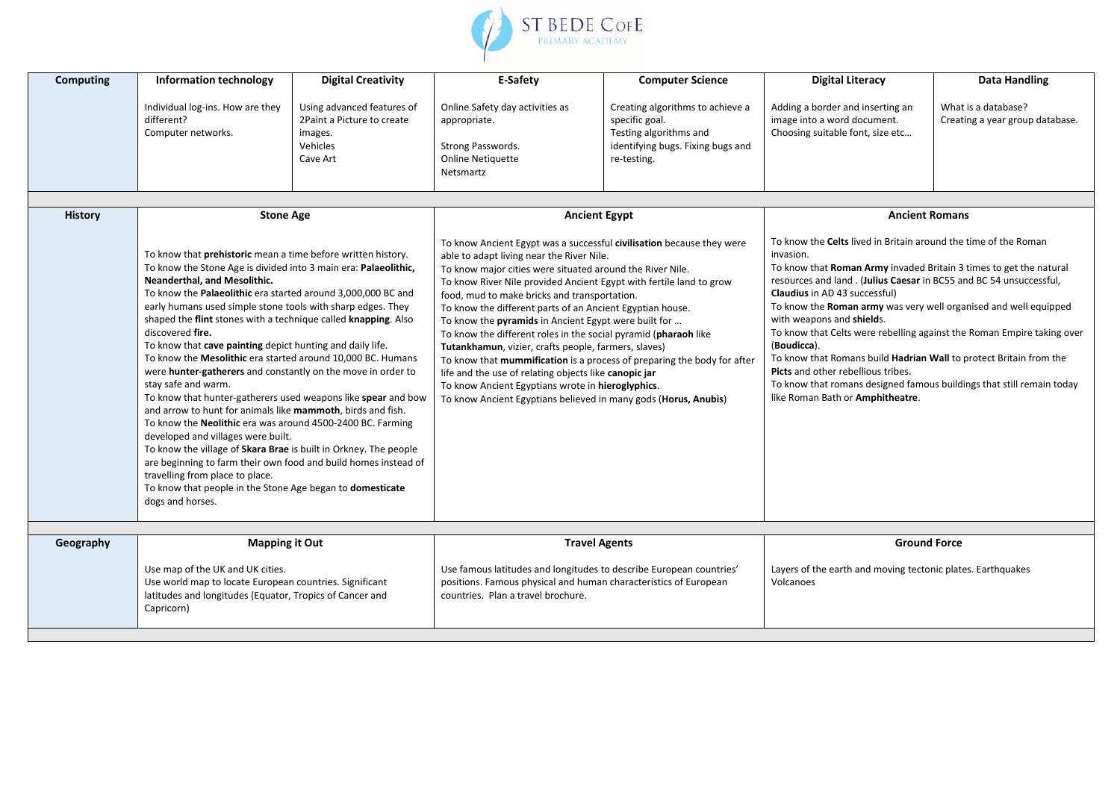

| Computing      | <b>Information technology</b>                                                                                                                                                                                                                                                                                                                                                                                                                                                                                                                                                                                                                                                                                                                                                                                                                                                                                                                                                                                                                                                                                              | <b>Digital Creativity</b>                                                                   | E-Safety                                                                                                                                                                                                                                                                                                                                                                                                                                                                                                                                                                                                                                                                                                                                                                                                                                   | <b>Computer Science</b>                                                                                                          | <b>Digital Literacy</b>                                                                                                                                                                                                                                                                                                                                                                                                                                                                                                                                                                                                                                                                                             | <b>Data Handling</b>                                   |  |
|----------------|----------------------------------------------------------------------------------------------------------------------------------------------------------------------------------------------------------------------------------------------------------------------------------------------------------------------------------------------------------------------------------------------------------------------------------------------------------------------------------------------------------------------------------------------------------------------------------------------------------------------------------------------------------------------------------------------------------------------------------------------------------------------------------------------------------------------------------------------------------------------------------------------------------------------------------------------------------------------------------------------------------------------------------------------------------------------------------------------------------------------------|---------------------------------------------------------------------------------------------|--------------------------------------------------------------------------------------------------------------------------------------------------------------------------------------------------------------------------------------------------------------------------------------------------------------------------------------------------------------------------------------------------------------------------------------------------------------------------------------------------------------------------------------------------------------------------------------------------------------------------------------------------------------------------------------------------------------------------------------------------------------------------------------------------------------------------------------------|----------------------------------------------------------------------------------------------------------------------------------|---------------------------------------------------------------------------------------------------------------------------------------------------------------------------------------------------------------------------------------------------------------------------------------------------------------------------------------------------------------------------------------------------------------------------------------------------------------------------------------------------------------------------------------------------------------------------------------------------------------------------------------------------------------------------------------------------------------------|--------------------------------------------------------|--|
|                | Individual log-ins. How are they<br>different?<br>Computer networks.                                                                                                                                                                                                                                                                                                                                                                                                                                                                                                                                                                                                                                                                                                                                                                                                                                                                                                                                                                                                                                                       | Using advanced features of<br>2Paint a Picture to create<br>images.<br>Vehicles<br>Cave Art | Online Safety day activities as<br>appropriate.<br>Strong Passwords.<br><b>Online Netiquette</b><br>Netsmartz                                                                                                                                                                                                                                                                                                                                                                                                                                                                                                                                                                                                                                                                                                                              | Creating algorithms to achieve a<br>specific goal.<br>Testing algorithms and<br>identifying bugs. Fixing bugs and<br>re-testing. | Adding a border and inserting an<br>image into a word document.<br>Choosing suitable font, size etc                                                                                                                                                                                                                                                                                                                                                                                                                                                                                                                                                                                                                 | What is a database?<br>Creating a year group database. |  |
|                |                                                                                                                                                                                                                                                                                                                                                                                                                                                                                                                                                                                                                                                                                                                                                                                                                                                                                                                                                                                                                                                                                                                            |                                                                                             |                                                                                                                                                                                                                                                                                                                                                                                                                                                                                                                                                                                                                                                                                                                                                                                                                                            |                                                                                                                                  |                                                                                                                                                                                                                                                                                                                                                                                                                                                                                                                                                                                                                                                                                                                     |                                                        |  |
| <b>History</b> | <b>Stone Age</b><br>To know that prehistoric mean a time before written history.<br>To know the Stone Age is divided into 3 main era: Palaeolithic,<br>Neanderthal, and Mesolithic.<br>To know the Palaeolithic era started around 3,000,000 BC and<br>early humans used simple stone tools with sharp edges. They<br>shaped the flint stones with a technique called knapping. Also<br>discovered fire.<br>To know that cave painting depict hunting and daily life.<br>To know the Mesolithic era started around 10,000 BC. Humans<br>were hunter-gatherers and constantly on the move in order to<br>stay safe and warm.<br>To know that hunter-gatherers used weapons like spear and bow<br>and arrow to hunt for animals like mammoth, birds and fish.<br>To know the Neolithic era was around 4500-2400 BC. Farming<br>developed and villages were built.<br>To know the village of Skara Brae is built in Orkney. The people<br>are beginning to farm their own food and build homes instead of<br>travelling from place to place.<br>To know that people in the Stone Age began to domesticate<br>dogs and horses. |                                                                                             | <b>Ancient Egypt</b><br>To know Ancient Egypt was a successful civilisation because they were<br>able to adapt living near the River Nile.<br>To know major cities were situated around the River Nile.<br>To know River Nile provided Ancient Egypt with fertile land to grow<br>food, mud to make bricks and transportation.<br>To know the different parts of an Ancient Egyptian house.<br>To know the pyramids in Ancient Egypt were built for<br>To know the different roles in the social pyramid (pharaoh like<br>Tutankhamun, vizier, crafts people, farmers, slaves)<br>To know that mummification is a process of preparing the body for after<br>life and the use of relating objects like canopic jar<br>To know Ancient Egyptians wrote in hieroglyphics.<br>To know Ancient Egyptians believed in many gods (Horus, Anubis) |                                                                                                                                  | <b>Ancient Romans</b><br>To know the <b>Celts</b> lived in Britain around the time of the Roman<br>invasion.<br>To know that Roman Army invaded Britain 3 times to get the natural<br>resources and land. (Julius Caesar in BC55 and BC 54 unsuccessful,<br><b>Claudius</b> in AD 43 successful)<br>To know the Roman army was very well organised and well equipped<br>with weapons and shields.<br>To know that Celts were rebelling against the Roman Empire taking over<br>(Boudicca).<br>To know that Romans build Hadrian Wall to protect Britain from the<br>Picts and other rebellious tribes.<br>To know that romans designed famous buildings that still remain today<br>like Roman Bath or Amphitheatre. |                                                        |  |
|                |                                                                                                                                                                                                                                                                                                                                                                                                                                                                                                                                                                                                                                                                                                                                                                                                                                                                                                                                                                                                                                                                                                                            |                                                                                             |                                                                                                                                                                                                                                                                                                                                                                                                                                                                                                                                                                                                                                                                                                                                                                                                                                            |                                                                                                                                  |                                                                                                                                                                                                                                                                                                                                                                                                                                                                                                                                                                                                                                                                                                                     |                                                        |  |
| Geography      | <b>Mapping it Out</b><br>Use map of the UK and UK cities.<br>Use world map to locate European countries. Significant<br>latitudes and longitudes (Equator, Tropics of Cancer and<br>Capricorn)                                                                                                                                                                                                                                                                                                                                                                                                                                                                                                                                                                                                                                                                                                                                                                                                                                                                                                                             |                                                                                             | <b>Travel Agents</b><br>Use famous latitudes and longitudes to describe European countries'<br>positions. Famous physical and human characteristics of European<br>countries. Plan a travel brochure.                                                                                                                                                                                                                                                                                                                                                                                                                                                                                                                                                                                                                                      |                                                                                                                                  | <b>Ground Force</b><br>Layers of the earth and moving tectonic plates. Earthquakes<br>Volcanoes                                                                                                                                                                                                                                                                                                                                                                                                                                                                                                                                                                                                                     |                                                        |  |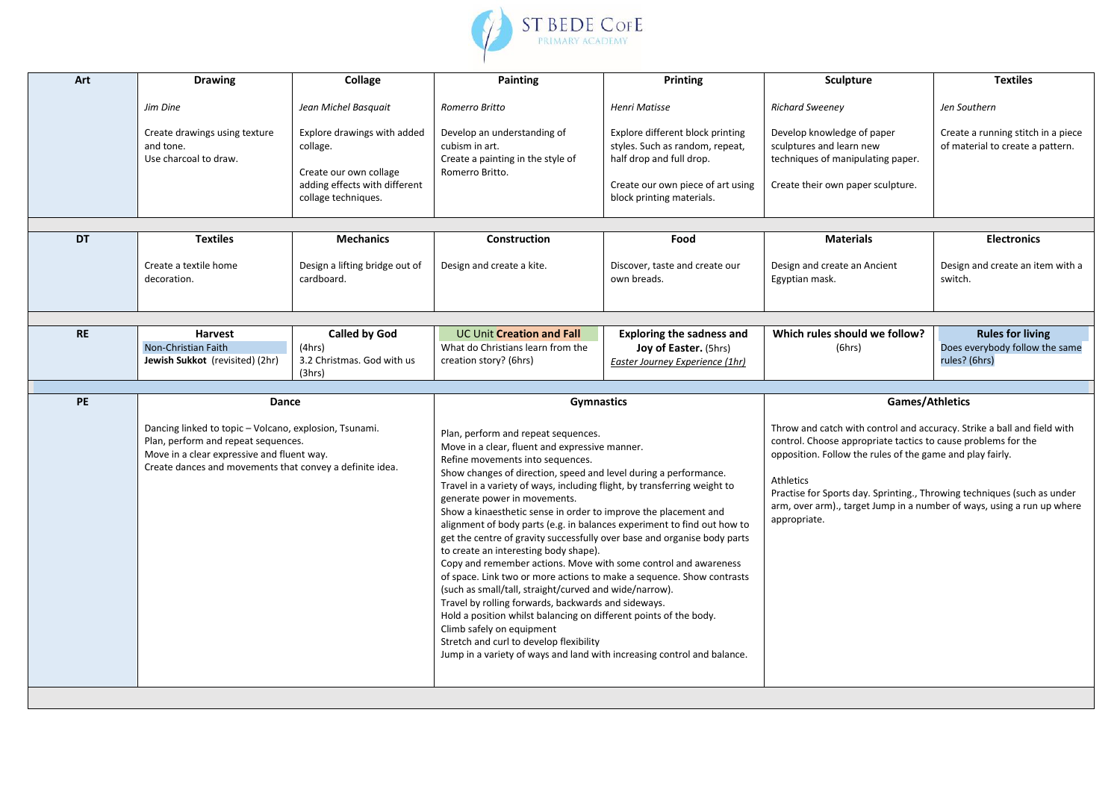

| Art       | <b>Drawing</b>                                                                                                                                                                                                   | Collage                                                                                                                   | <b>Painting</b>                                                                                                                                                                                                                                                                                                                                                                                                                                                                                                                                                                                                                                                                                                                                                                                                                                                                                                                                                                                                                                                                        | Printing                                                                                                                                                          | Sculpture                                                                                                                                                                                                                                                                                                                                                                                                         | <b>Textiles</b>                                                            |
|-----------|------------------------------------------------------------------------------------------------------------------------------------------------------------------------------------------------------------------|---------------------------------------------------------------------------------------------------------------------------|----------------------------------------------------------------------------------------------------------------------------------------------------------------------------------------------------------------------------------------------------------------------------------------------------------------------------------------------------------------------------------------------------------------------------------------------------------------------------------------------------------------------------------------------------------------------------------------------------------------------------------------------------------------------------------------------------------------------------------------------------------------------------------------------------------------------------------------------------------------------------------------------------------------------------------------------------------------------------------------------------------------------------------------------------------------------------------------|-------------------------------------------------------------------------------------------------------------------------------------------------------------------|-------------------------------------------------------------------------------------------------------------------------------------------------------------------------------------------------------------------------------------------------------------------------------------------------------------------------------------------------------------------------------------------------------------------|----------------------------------------------------------------------------|
|           | Jim Dine                                                                                                                                                                                                         | Jean Michel Basquait                                                                                                      | Romerro Britto                                                                                                                                                                                                                                                                                                                                                                                                                                                                                                                                                                                                                                                                                                                                                                                                                                                                                                                                                                                                                                                                         | <b>Henri Matisse</b>                                                                                                                                              | <b>Richard Sweeney</b>                                                                                                                                                                                                                                                                                                                                                                                            | Jen Southern                                                               |
|           | Create drawings using texture<br>and tone.<br>Use charcoal to draw.                                                                                                                                              | Explore drawings with added<br>collage.<br>Create our own collage<br>adding effects with different<br>collage techniques. | Develop an understanding of<br>cubism in art.<br>Create a painting in the style of<br>Romerro Britto.                                                                                                                                                                                                                                                                                                                                                                                                                                                                                                                                                                                                                                                                                                                                                                                                                                                                                                                                                                                  | Explore different block printing<br>styles. Such as random, repeat,<br>half drop and full drop.<br>Create our own piece of art using<br>block printing materials. | Develop knowledge of paper<br>sculptures and learn new<br>techniques of manipulating paper.<br>Create their own paper sculpture.                                                                                                                                                                                                                                                                                  | Create a running stitch in a piece<br>of material to create a pattern.     |
|           |                                                                                                                                                                                                                  |                                                                                                                           |                                                                                                                                                                                                                                                                                                                                                                                                                                                                                                                                                                                                                                                                                                                                                                                                                                                                                                                                                                                                                                                                                        |                                                                                                                                                                   |                                                                                                                                                                                                                                                                                                                                                                                                                   |                                                                            |
| <b>DT</b> | <b>Textiles</b>                                                                                                                                                                                                  | <b>Mechanics</b>                                                                                                          | Construction                                                                                                                                                                                                                                                                                                                                                                                                                                                                                                                                                                                                                                                                                                                                                                                                                                                                                                                                                                                                                                                                           | Food                                                                                                                                                              | <b>Materials</b>                                                                                                                                                                                                                                                                                                                                                                                                  | <b>Electronics</b>                                                         |
|           | Create a textile home<br>decoration.                                                                                                                                                                             | Design a lifting bridge out of<br>cardboard.                                                                              | Design and create a kite.                                                                                                                                                                                                                                                                                                                                                                                                                                                                                                                                                                                                                                                                                                                                                                                                                                                                                                                                                                                                                                                              | Discover, taste and create our<br>own breads.                                                                                                                     | Design and create an Ancient<br>Egyptian mask.                                                                                                                                                                                                                                                                                                                                                                    | Design and create an item with a<br>switch.                                |
|           |                                                                                                                                                                                                                  |                                                                                                                           |                                                                                                                                                                                                                                                                                                                                                                                                                                                                                                                                                                                                                                                                                                                                                                                                                                                                                                                                                                                                                                                                                        |                                                                                                                                                                   |                                                                                                                                                                                                                                                                                                                                                                                                                   |                                                                            |
| <b>RE</b> | <b>Harvest</b><br>Non-Christian Faith<br>Jewish Sukkot (revisited) (2hr)                                                                                                                                         | <b>Called by God</b><br>(4hrs)<br>3.2 Christmas. God with us<br>(3hrs)                                                    | <b>UC Unit Creation and Fall</b><br>What do Christians learn from the<br>creation story? (6hrs)                                                                                                                                                                                                                                                                                                                                                                                                                                                                                                                                                                                                                                                                                                                                                                                                                                                                                                                                                                                        | <b>Exploring the sadness and</b><br>Joy of Easter. (5hrs)<br>Easter Journey Experience (1hr)                                                                      | Which rules should we follow?<br>(6hrs)                                                                                                                                                                                                                                                                                                                                                                           | <b>Rules for living</b><br>Does everybody follow the same<br>rules? (6hrs) |
| PE        |                                                                                                                                                                                                                  |                                                                                                                           |                                                                                                                                                                                                                                                                                                                                                                                                                                                                                                                                                                                                                                                                                                                                                                                                                                                                                                                                                                                                                                                                                        |                                                                                                                                                                   |                                                                                                                                                                                                                                                                                                                                                                                                                   |                                                                            |
|           | Dance<br>Dancing linked to topic - Volcano, explosion, Tsunami.<br>Plan, perform and repeat sequences.<br>Move in a clear expressive and fluent way.<br>Create dances and movements that convey a definite idea. |                                                                                                                           | <b>Gymnastics</b><br>Plan, perform and repeat sequences.<br>Move in a clear, fluent and expressive manner.<br>Refine movements into sequences.<br>Show changes of direction, speed and level during a performance.<br>Travel in a variety of ways, including flight, by transferring weight to<br>generate power in movements.<br>Show a kinaesthetic sense in order to improve the placement and<br>alignment of body parts (e.g. in balances experiment to find out how to<br>get the centre of gravity successfully over base and organise body parts<br>to create an interesting body shape).<br>Copy and remember actions. Move with some control and awareness<br>of space. Link two or more actions to make a sequence. Show contrasts<br>(such as small/tall, straight/curved and wide/narrow).<br>Travel by rolling forwards, backwards and sideways.<br>Hold a position whilst balancing on different points of the body.<br>Climb safely on equipment<br>Stretch and curl to develop flexibility<br>Jump in a variety of ways and land with increasing control and balance. |                                                                                                                                                                   | Games/Athletics<br>Throw and catch with control and accuracy. Strike a ball and field with<br>control. Choose appropriate tactics to cause problems for the<br>opposition. Follow the rules of the game and play fairly.<br><b>Athletics</b><br>Practise for Sports day. Sprinting., Throwing techniques (such as under<br>arm, over arm)., target Jump in a number of ways, using a run up where<br>appropriate. |                                                                            |